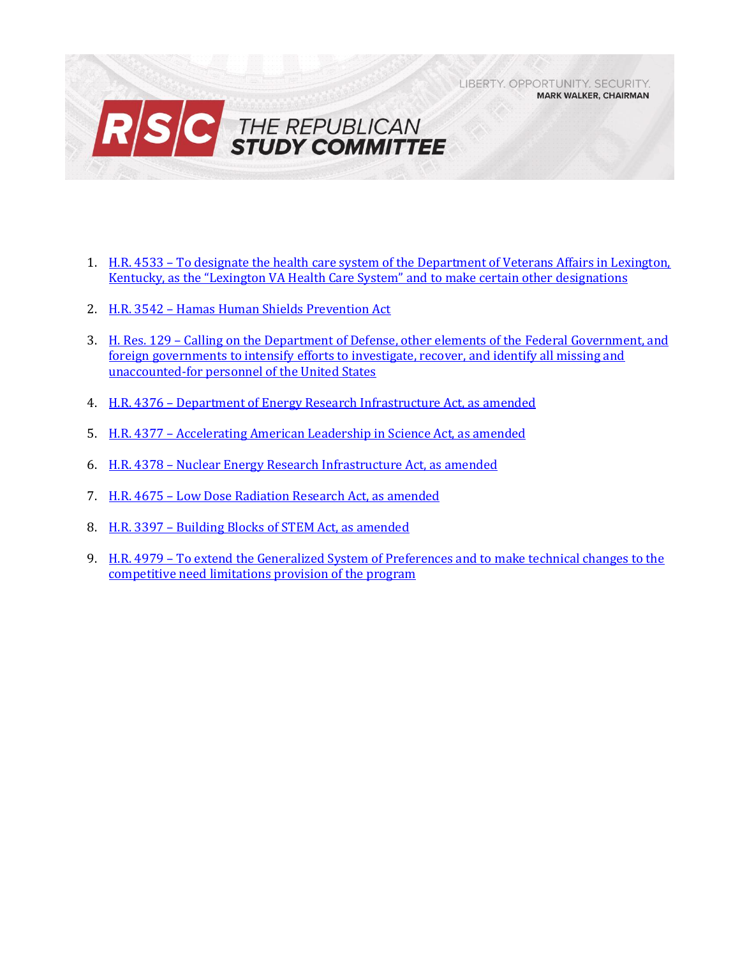LIBERTY, OPPORTUNITY, SECURITY, **MARK WALKER, CHAIRMAN** 



- 1. H.R. 4533 [To designate the health care system of the Department of Veterans Affairs in Lexington,](#page-1-0)  [Kentucky, as the "Lexington VA Health Care System" and t](#page-1-0)o make certain other designations
- 2. H.R. 3542 [Hamas Human Shields Prevention Act](#page-3-0)
- 3. H. Res. 129 [Calling on the Department of Defense, other elements of the Federal Government, and](#page-5-0)  [foreign governments to intensify efforts to investigate, recover, and identify all missing and](#page-5-0)  [unaccounted-for personnel of the United States](#page-5-0)
- 4. H.R. 4376 [Department of Energy Research Infrastructure Act, as amended](#page-6-0)
- 5. H.R. 4377 [Accelerating American Leadership in Science Act, as amended](#page-8-0)
- 6. H.R. 4378 [Nuclear Energy Research Infrastructure Act, as amended](#page-10-0)
- 7. H.R. 4675 [Low Dose Radiation Research Act, as amended](#page-12-0)
- 8. H.R. 3397 [Building Blocks of STEM Act, as amended](#page-14-0)
- 9. H.R. 4979 [To extend the Generalized System of Preferences and to make technical changes to the](#page-16-0)  [competitive need limitations provision of the program](#page-16-0)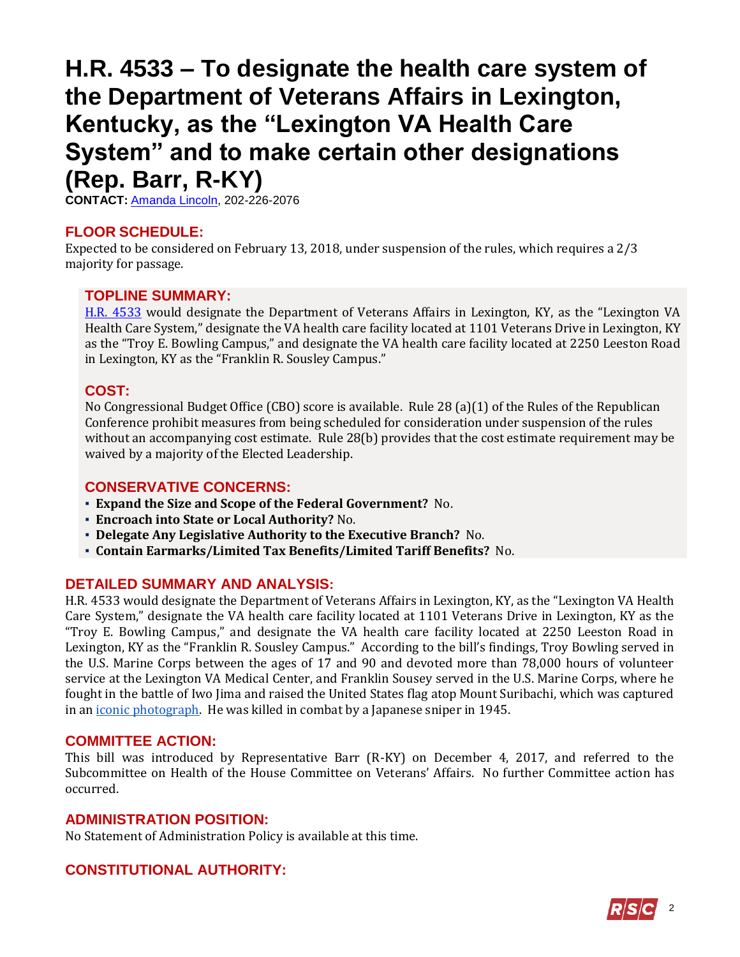## <span id="page-1-0"></span>**H.R. 4533 – To designate the health care system of the Department of Veterans Affairs in Lexington, Kentucky, as the "Lexington VA Health Care System" and to make certain other designations (Rep. Barr, R-KY)**

**CONTACT:** [Amanda Lincoln,](mailto:amanda.lincoln@mail.house.gov) 202-226-2076

## **FLOOR SCHEDULE:**

Expected to be considered on February 13, 2018, under suspension of the rules, which requires a 2/3 majority for passage.

## **TOPLINE SUMMARY:**

[H.R. 4533](http://docs.house.gov/billsthisweek/20180212/HR4533.pdf) would designate the Department of Veterans Affairs in Lexington, KY, as the "Lexington VA Health Care System," designate the VA health care facility located at 1101 Veterans Drive in Lexington, KY as the "Troy E. Bowling Campus," and designate the VA health care facility located at 2250 Leeston Road in Lexington, KY as the "Franklin R. Sousley Campus."

## **COST:**

No Congressional Budget Office (CBO) score is available. Rule 28 (a)(1) of the Rules of the Republican Conference prohibit measures from being scheduled for consideration under suspension of the rules without an accompanying cost estimate. Rule 28(b) provides that the cost estimate requirement may be waived by a majority of the Elected Leadership.

## **CONSERVATIVE CONCERNS:**

- **Expand the Size and Scope of the Federal Government?** No.
- **Encroach into State or Local Authority?** No.
- **Delegate Any Legislative Authority to the Executive Branch?** No.
- **Contain Earmarks/Limited Tax Benefits/Limited Tariff Benefits?** No.

## **DETAILED SUMMARY AND ANALYSIS:**

H.R. 4533 would designate the Department of Veterans Affairs in Lexington, KY, as the "Lexington VA Health Care System," designate the VA health care facility located at 1101 Veterans Drive in Lexington, KY as the "Troy E. Bowling Campus," and designate the VA health care facility located at 2250 Leeston Road in Lexington, KY as the "Franklin R. Sousley Campus." According to the bill's findings, Troy Bowling served in the U.S. Marine Corps between the ages of 17 and 90 and devoted more than 78,000 hours of volunteer service at the Lexington VA Medical Center, and Franklin Sousey served in the U.S. Marine Corps, where he fought in the battle of Iwo Jima and raised the United States flag atop Mount Suribachi, which was captured in an *iconic photograph*. He was killed in combat by a Japanese sniper in 1945.

## **COMMITTEE ACTION:**

This bill was introduced by Representative Barr (R-KY) on December 4, 2017, and referred to the Subcommittee on Health of the House Committee on Veterans' Affairs. No further Committee action has occurred.

#### **ADMINISTRATION POSITION:**

No Statement of Administration Policy is available at this time.

## **CONSTITUTIONAL AUTHORITY:**

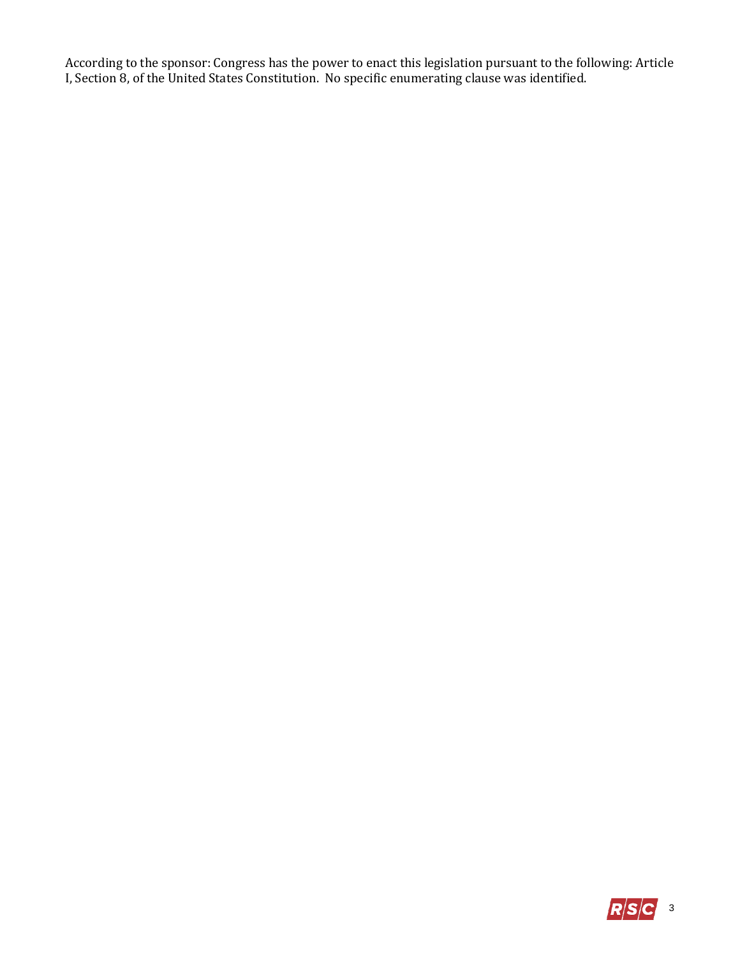According to the sponsor: Congress has the power to enact this legislation pursuant to the following: Article I, Section 8, of the United States Constitution. No specific enumerating clause was identified.

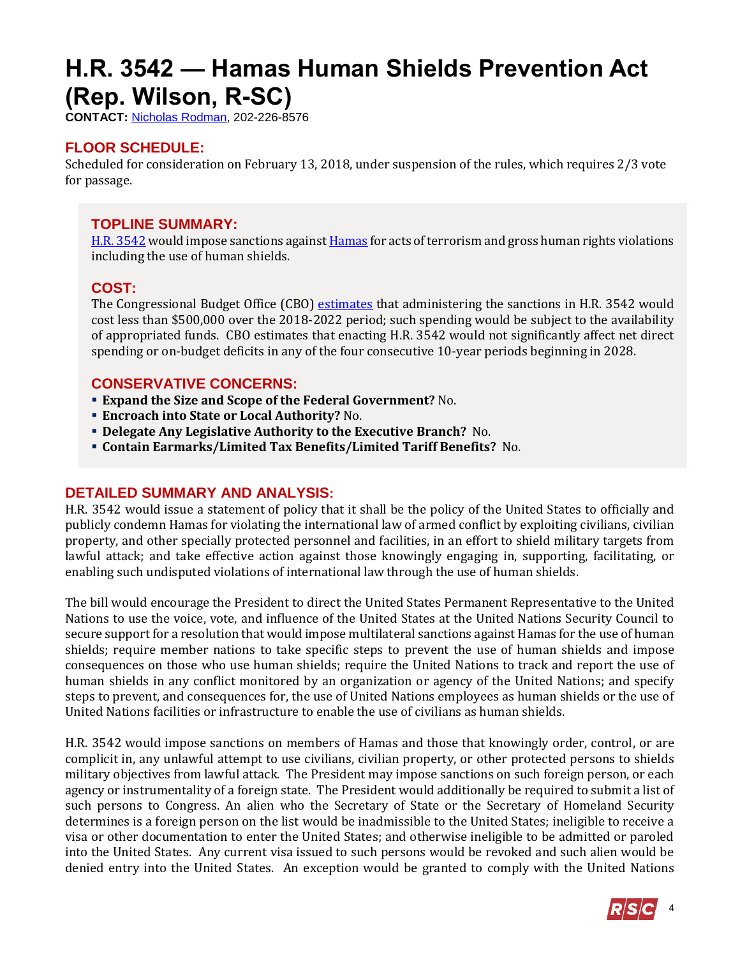## <span id="page-3-0"></span>**H.R. 3542 — Hamas Human Shields Prevention Act (Rep. Wilson, R-SC)**

**CONTACT:** [Nicholas Rodman,](mailto:nicholas.rodman@mail.house.gov) 202-226-8576

## **FLOOR SCHEDULE:**

Scheduled for consideration on February 13, 2018, under suspension of the rules, which requires 2/3 vote for passage.

## **TOPLINE SUMMARY:**

[H.R. 3542](http://docs.house.gov/billsthisweek/20180212/HR3542.pdf) would impose sanctions agains[t Hamas](https://www.state.gov/j/ct/rls/other/des/123085.htm) for acts of terrorism and gross human rights violations including the use of human shields.

#### **COST:**

The Congressional Budget Office (CBO) [estimates](https://www.cbo.gov/system/files/115th-congress-2017-2018/costestimate/hr3542.pdf) that administering the sanctions in H.R. 3542 would cost less than \$500,000 over the 2018-2022 period; such spending would be subject to the availability of appropriated funds. CBO estimates that enacting H.R. 3542 would not significantly affect net direct spending or on-budget deficits in any of the four consecutive 10-year periods beginning in 2028.

#### **CONSERVATIVE CONCERNS:**

- **Expand the Size and Scope of the Federal Government?** No.
- **Encroach into State or Local Authority?** No.
- **Delegate Any Legislative Authority to the Executive Branch?** No.
- **Contain Earmarks/Limited Tax Benefits/Limited Tariff Benefits?** No.

## **DETAILED SUMMARY AND ANALYSIS:**

H.R. 3542 would issue a statement of policy that it shall be the policy of the United States to officially and publicly condemn Hamas for violating the international law of armed conflict by exploiting civilians, civilian property, and other specially protected personnel and facilities, in an effort to shield military targets from lawful attack; and take effective action against those knowingly engaging in, supporting, facilitating, or enabling such undisputed violations of international law through the use of human shields.

The bill would encourage the President to direct the United States Permanent Representative to the United Nations to use the voice, vote, and influence of the United States at the United Nations Security Council to secure support for a resolution that would impose multilateral sanctions against Hamas for the use of human shields; require member nations to take specific steps to prevent the use of human shields and impose consequences on those who use human shields; require the United Nations to track and report the use of human shields in any conflict monitored by an organization or agency of the United Nations; and specify steps to prevent, and consequences for, the use of United Nations employees as human shields or the use of United Nations facilities or infrastructure to enable the use of civilians as human shields.

H.R. 3542 would impose sanctions on members of Hamas and those that knowingly order, control, or are complicit in, any unlawful attempt to use civilians, civilian property, or other protected persons to shields military objectives from lawful attack. The President may impose sanctions on such foreign person, or each agency or instrumentality of a foreign state. The President would additionally be required to submit a list of such persons to Congress. An alien who the Secretary of State or the Secretary of Homeland Security determines is a foreign person on the list would be inadmissible to the United States; ineligible to receive a visa or other documentation to enter the United States; and otherwise ineligible to be admitted or paroled into the United States. Any current visa issued to such persons would be revoked and such alien would be denied entry into the United States. An exception would be granted to comply with the United Nations

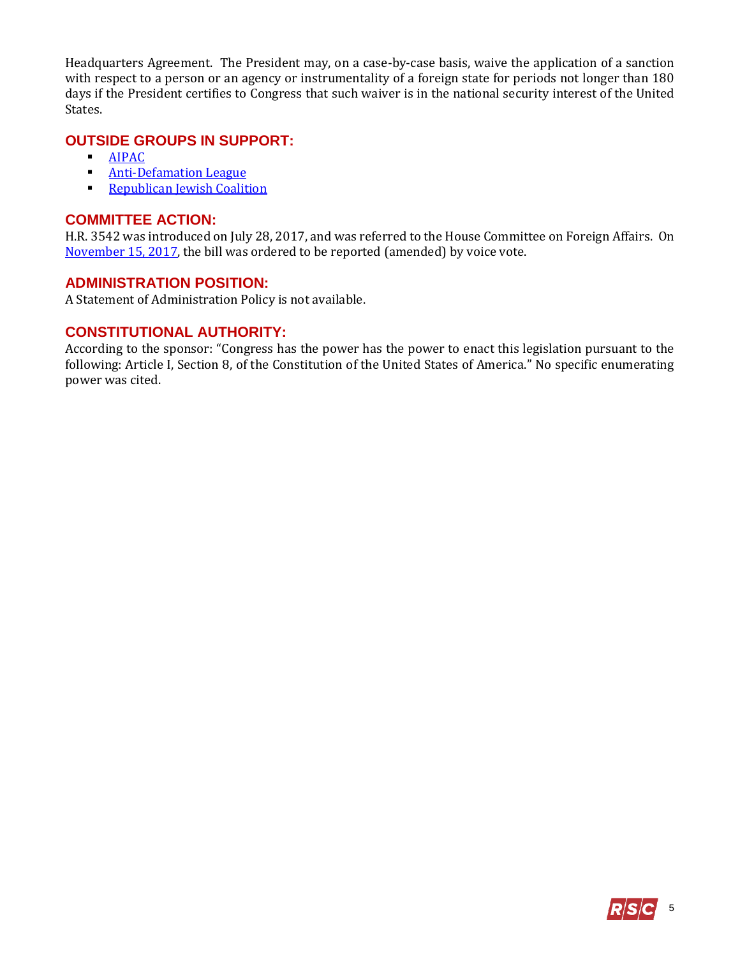Headquarters Agreement. The President may, on a case-by-case basis, waive the application of a sanction with respect to a person or an agency or instrumentality of a foreign state for periods not longer than 180 days if the President certifies to Congress that such waiver is in the national security interest of the United States.

#### **OUTSIDE GROUPS IN SUPPORT:**

- **-** [AIPAC](https://www.aipac.org/learn/resources/aipac-publications/publication?pubpath=PolicyPolitics/Press/AIPAC%20Statements/2017/11/House%20Committee%20Adopts%20Legislation%20to%20Penalize%20Support%20of%20Terrorism)
- **[Anti-Defamation League](https://www.adl.org/news/press-releases/adl-applauds-house-foreign-affairs-committee-for-adopting-the-taylor-force-act)**
- **[Republican Jewish Coalition](https://twitter.com/RJC/status/931270126216925189)**

#### **COMMITTEE ACTION:**

H.R. 3542 was introduced on July 28, 2017, and was referred to the House Committee on Foreign Affairs. On [November](https://foreignaffairs.house.gov/markup/markup-h-res-336-h-res-401-h-res-407-h-r-1164-h-r-1415-h-r-2712-h-r-3542-h-r-3776-h-con-res-90/) 15, 2017, the bill was ordered to be reported (amended) by voice vote.

#### **ADMINISTRATION POSITION:**

A Statement of Administration Policy is not available.

#### **CONSTITUTIONAL AUTHORITY:**

According to the sponsor: "Congress has the power has the power to enact this legislation pursuant to the following: Article I, Section 8, of the Constitution of the United States of America." No specific enumerating power was cited.

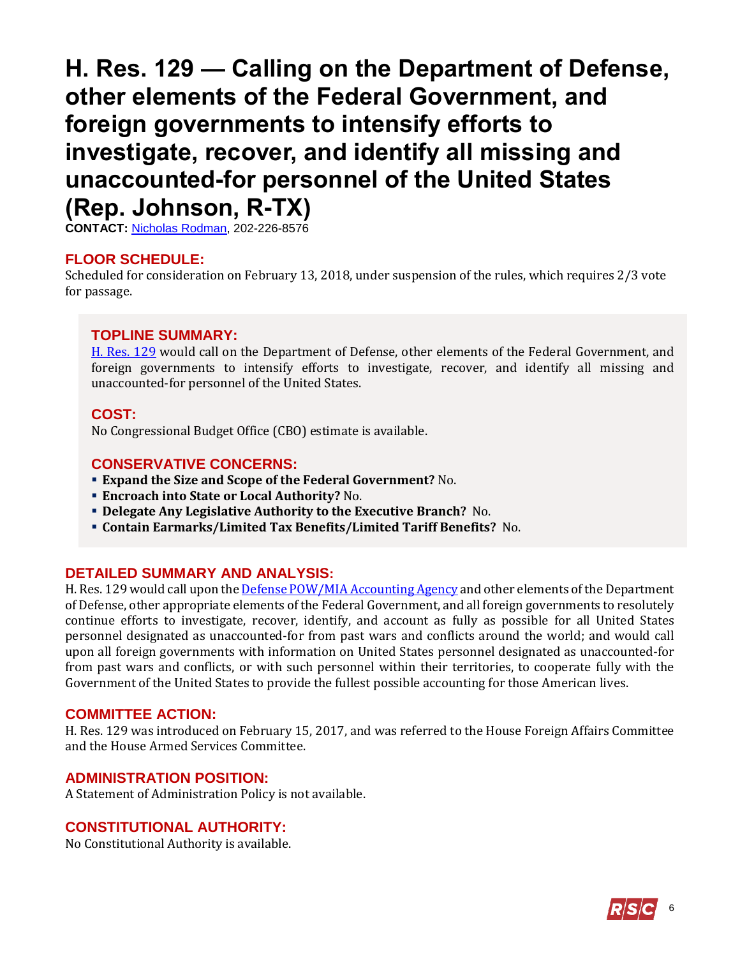## <span id="page-5-0"></span>**H. Res. 129 — Calling on the Department of Defense, other elements of the Federal Government, and foreign governments to intensify efforts to investigate, recover, and identify all missing and unaccounted-for personnel of the United States (Rep. Johnson, R-TX)**

**CONTACT:** [Nicholas Rodman,](mailto:nicholas.rodman@mail.house.gov) 202-226-8576

#### **FLOOR SCHEDULE:**

Scheduled for consideration on February 13, 2018, under suspension of the rules, which requires 2/3 vote for passage.

#### **TOPLINE SUMMARY:**

[H. Res. 129](http://docs.house.gov/billsthisweek/20180212/HRES129.pdf) would call on the Department of Defense, other elements of the Federal Government, and foreign governments to intensify efforts to investigate, recover, and identify all missing and unaccounted-for personnel of the United States.

#### **COST:**

No Congressional Budget Office (CBO) estimate is available.

#### **CONSERVATIVE CONCERNS:**

- **Expand the Size and Scope of the Federal Government?** No.
- **Encroach into State or Local Authority?** No.
- **Delegate Any Legislative Authority to the Executive Branch?** No.
- **Contain Earmarks/Limited Tax Benefits/Limited Tariff Benefits?** No.

#### **DETAILED SUMMARY AND ANALYSIS:**

H. Res. 129 would call upon the *Defense POW/MIA Accounting Agency* and other elements of the Department of Defense, other appropriate elements of the Federal Government, and all foreign governments to resolutely continue efforts to investigate, recover, identify, and account as fully as possible for all United States personnel designated as unaccounted-for from past wars and conflicts around the world; and would call upon all foreign governments with information on United States personnel designated as unaccounted-for from past wars and conflicts, or with such personnel within their territories, to cooperate fully with the Government of the United States to provide the fullest possible accounting for those American lives.

#### **COMMITTEE ACTION:**

H. Res. 129 was introduced on February 15, 2017, and was referred to the House Foreign Affairs Committee and the House Armed Services Committee.

#### **ADMINISTRATION POSITION:**

A Statement of Administration Policy is not available.

#### **CONSTITUTIONAL AUTHORITY:**

No Constitutional Authority is available.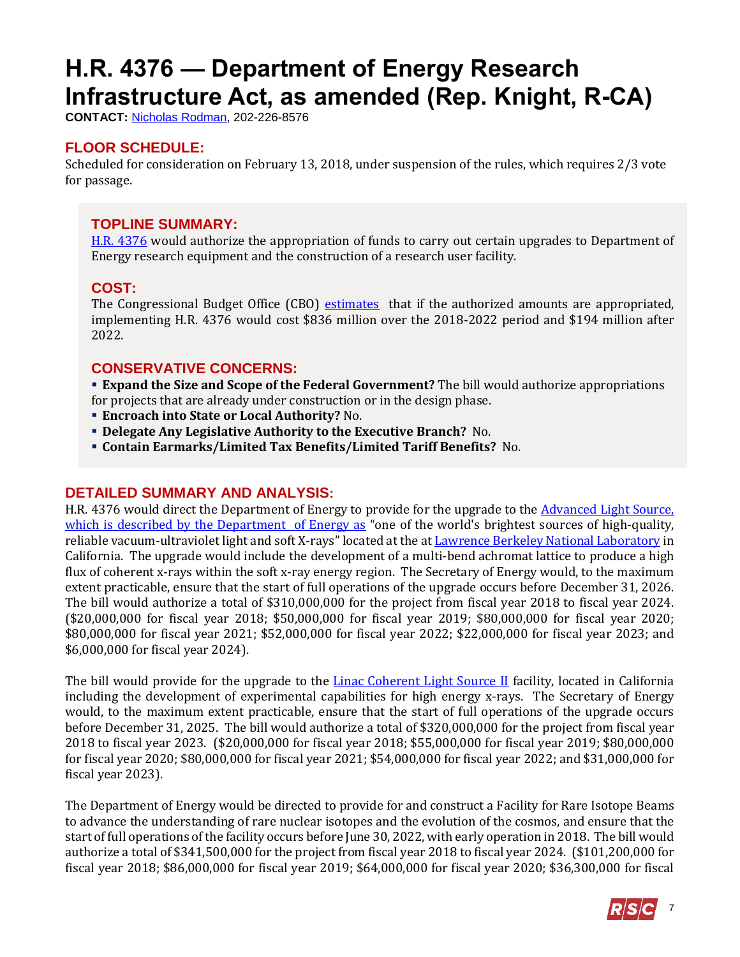# <span id="page-6-0"></span>**H.R. 4376 — Department of Energy Research Infrastructure Act, as amended (Rep. Knight, R-CA)**

**CONTACT:** [Nicholas Rodman,](mailto:nicholas.rodman@mail.house.gov) 202-226-8576

## **FLOOR SCHEDULE:**

Scheduled for consideration on February 13, 2018, under suspension of the rules, which requires 2/3 vote for passage.

## **TOPLINE SUMMARY:**

[H.R. 4376](http://docs.house.gov/billsthisweek/20180212/HR4376-1.pdf) would authorize the appropriation of funds to carry out certain upgrades to Department of Energy research equipment and the construction of a research user facility.

## **COST:**

The Congressional Budget Office (CBO) [estimates](https://www.cbo.gov/system/files/115th-congress-2017-2018/costestimate/hr4376.pdf) that if the authorized amounts are appropriated, implementing H.R. 4376 would cost \$836 million over the 2018-2022 period and \$194 million after 2022.

## **CONSERVATIVE CONCERNS:**

 **Expand the Size and Scope of the Federal Government?** The bill would authorize appropriations for projects that are already under construction or in the design phase.

- **Encroach into State or Local Authority?** No.
- **Delegate Any Legislative Authority to the Executive Branch?** No.
- **Contain Earmarks/Limited Tax Benefits/Limited Tariff Benefits?** No.

## **DETAILED SUMMARY AND ANALYSIS:**

H.R. 4376 would direct the Department of Energy to provide for the upgrade to the [Advanced Light Source,](https://science.energy.gov/bes/suf/user-facilities/x-ray-light-sources/als/) which is described by the Department of Energy as "one of the world's brightest sources of high-quality, reliable vacuum-ultraviolet light and soft X-rays" located at the a[t Lawrence Berkeley National Laboratory](https://als.lbl.gov/) in California. The upgrade would include the development of a multi-bend achromat lattice to produce a high flux of coherent x-rays within the soft x-ray energy region. The Secretary of Energy would, to the maximum extent practicable, ensure that the start of full operations of the upgrade occurs before December 31, 2026. The bill would authorize a total of \$310,000,000 for the project from fiscal year 2018 to fiscal year 2024. (\$20,000,000 for fiscal year 2018; \$50,000,000 for fiscal year 2019; \$80,000,000 for fiscal year 2020; \$80,000,000 for fiscal year 2021; \$52,000,000 for fiscal year 2022; \$22,000,000 for fiscal year 2023; and \$6,000,000 for fiscal year 2024).

The bill would provide for the upgrade to the [Linac Coherent Light Source II](https://lcls.slac.stanford.edu/) facility, located in California including the development of experimental capabilities for high energy x-rays. The Secretary of Energy would, to the maximum extent practicable, ensure that the start of full operations of the upgrade occurs before December 31, 2025. The bill would authorize a total of \$320,000,000 for the project from fiscal year 2018 to fiscal year 2023. (\$20,000,000 for fiscal year 2018; \$55,000,000 for fiscal year 2019; \$80,000,000 for fiscal year 2020; \$80,000,000 for fiscal year 2021; \$54,000,000 for fiscal year 2022; and \$31,000,000 for fiscal year 2023).

The Department of Energy would be directed to provide for and construct a Facility for Rare Isotope Beams to advance the understanding of rare nuclear isotopes and the evolution of the cosmos, and ensure that the start of full operations of the facility occurs before June 30, 2022, with early operation in 2018. The bill would authorize a total of \$341,500,000 for the project from fiscal year 2018 to fiscal year 2024. (\$101,200,000 for fiscal year 2018; \$86,000,000 for fiscal year 2019; \$64,000,000 for fiscal year 2020; \$36,300,000 for fiscal

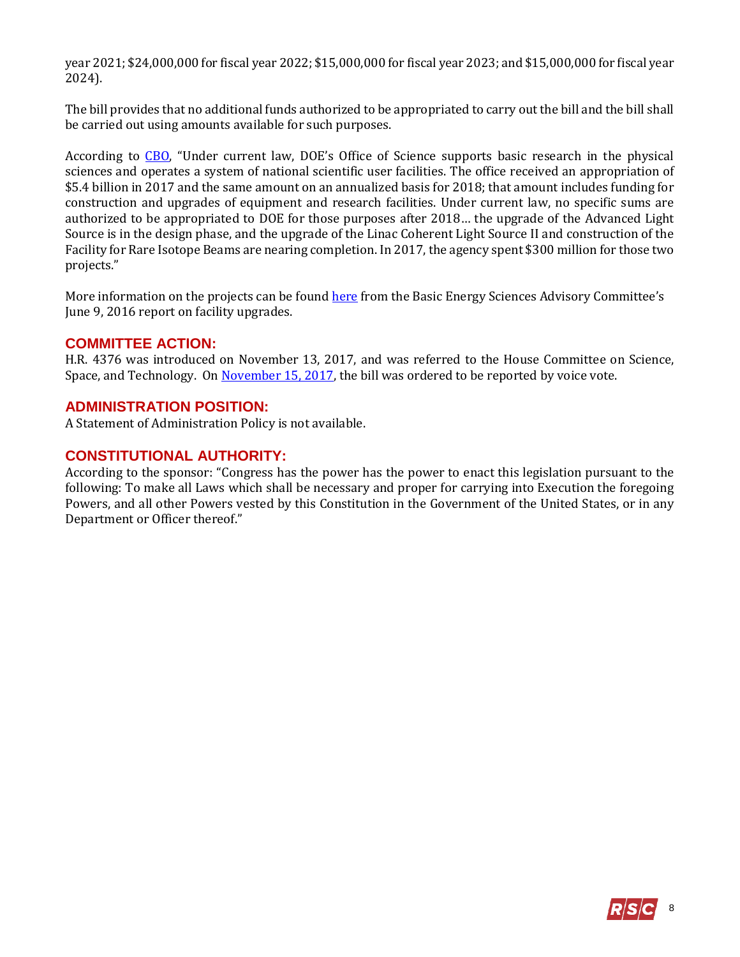year 2021; \$24,000,000 for fiscal year 2022; \$15,000,000 for fiscal year 2023; and \$15,000,000 for fiscal year 2024).

The bill provides that no additional funds authorized to be appropriated to carry out the bill and the bill shall be carried out using amounts available for such purposes.

According to [CBO](https://www.cbo.gov/system/files/115th-congress-2017-2018/costestimate/hr4376.pdf), "Under current law, DOE's Office of Science supports basic research in the physical sciences and operates a system of national scientific user facilities. The office received an appropriation of \$5.4 billion in 2017 and the same amount on an annualized basis for 2018; that amount includes funding for construction and upgrades of equipment and research facilities. Under current law, no specific sums are authorized to be appropriated to DOE for those purposes after 2018… the upgrade of the Advanced Light Source is in the design phase, and the upgrade of the Linac Coherent Light Source II and construction of the Facility for Rare Isotope Beams are nearing completion. In 2017, the agency spent \$300 million for those two projects."

More information on the projects can be found [here](https://science.energy.gov/~/media/bes/besac/pdf/Reports/BESAC_Facility_Upgrade_Assessment_Approved_June_9_2016.pdf) from the Basic Energy Sciences Advisory Committee's June 9, 2016 report on facility upgrades.

#### **COMMITTEE ACTION:**

H.R. 4376 was introduced on November 13, 2017, and was referred to the House Committee on Science, Space, and Technology. On [November 15, 2017,](https://science.house.gov/legislation/markups/full-committee-markup-0) the bill was ordered to be reported by voice vote.

#### **ADMINISTRATION POSITION:**

A Statement of Administration Policy is not available.

#### **CONSTITUTIONAL AUTHORITY:**

According to the sponsor: "Congress has the power has the power to enact this legislation pursuant to the following: To make all Laws which shall be necessary and proper for carrying into Execution the foregoing Powers, and all other Powers vested by this Constitution in the Government of the United States, or in any Department or Officer thereof."

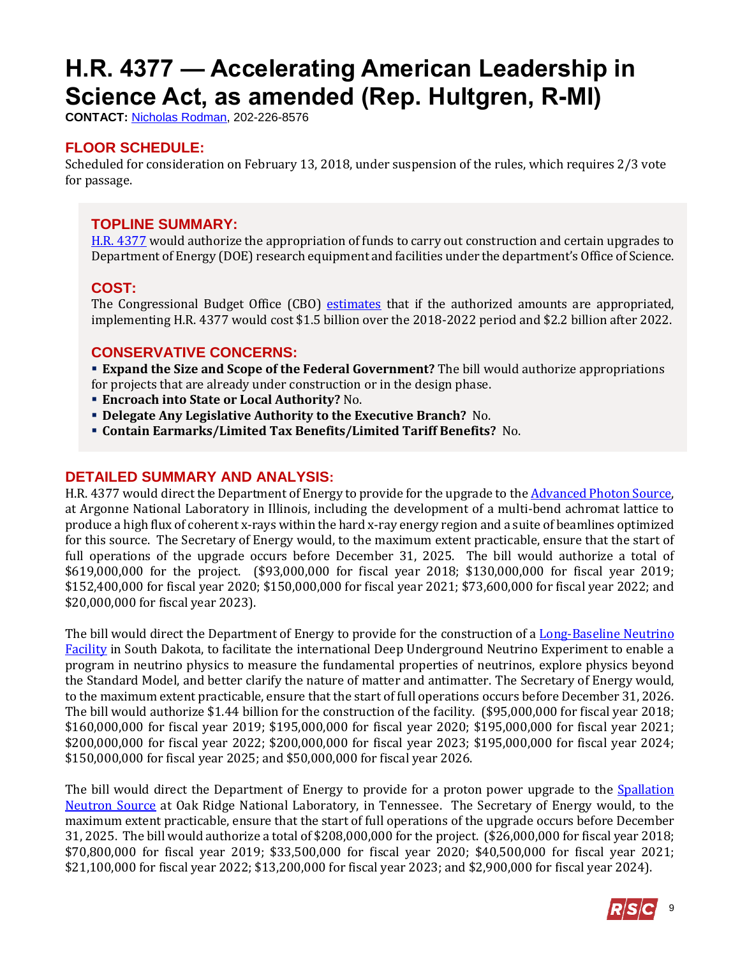# <span id="page-8-0"></span>**H.R. 4377 — Accelerating American Leadership in Science Act, as amended (Rep. Hultgren, R-MI)**

**CONTACT:** [Nicholas Rodman,](mailto:nicholas.rodman@mail.house.gov) 202-226-8576

## **FLOOR SCHEDULE:**

Scheduled for consideration on February 13, 2018, under suspension of the rules, which requires 2/3 vote for passage.

## **TOPLINE SUMMARY:**

[H.R. 4377](http://docs.house.gov/billsthisweek/20180212/HR4377-1.pdf) would authorize the appropriation of funds to carry out construction and certain upgrades to Department of Energy (DOE) research equipment and facilities under the department's Office of Science.

## **COST:**

The Congressional Budget Office (CBO) [estimates](https://www.cbo.gov/system/files/115th-congress-2017-2018/costestimate/hr4377.pdf) that if the authorized amounts are appropriated, implementing H.R. 4377 would cost \$1.5 billion over the 2018-2022 period and \$2.2 billion after 2022.

## **CONSERVATIVE CONCERNS:**

 **Expand the Size and Scope of the Federal Government?** The bill would authorize appropriations for projects that are already under construction or in the design phase.

- **Encroach into State or Local Authority?** No.
- **Delegate Any Legislative Authority to the Executive Branch?** No.
- **Contain Earmarks/Limited Tax Benefits/Limited Tariff Benefits?** No.

#### **DETAILED SUMMARY AND ANALYSIS:**

H.R. 4377 would direct the Department of Energy to provide for the upgrade to th[e Advanced Photon Source,](https://www.aps.anl.gov/) at Argonne National Laboratory in Illinois, including the development of a multi-bend achromat lattice to produce a high flux of coherent x-rays within the hard x-ray energy region and a suite of beamlines optimized for this source. The Secretary of Energy would, to the maximum extent practicable, ensure that the start of full operations of the upgrade occurs before December 31, 2025. The bill would authorize a total of \$619,000,000 for the project. (\$93,000,000 for fiscal year 2018; \$130,000,000 for fiscal year 2019; \$152,400,000 for fiscal year 2020; \$150,000,000 for fiscal year 2021; \$73,600,000 for fiscal year 2022; and \$20,000,000 for fiscal year 2023).

The bill would direct the Department of Energy to provide for the construction of [a Long-Baseline Neutrino](http://news.fnal.gov/2017/07/construction-begins-international-mega-science-experiment-understand-neutrinos/)  [Facility](http://news.fnal.gov/2017/07/construction-begins-international-mega-science-experiment-understand-neutrinos/) in South Dakota, to facilitate the international Deep Underground Neutrino Experiment to enable a program in neutrino physics to measure the fundamental properties of neutrinos, explore physics beyond the Standard Model, and better clarify the nature of matter and antimatter. The Secretary of Energy would, to the maximum extent practicable, ensure that the start of full operations occurs before December 31, 2026. The bill would authorize \$1.44 billion for the construction of the facility. (\$95,000,000 for fiscal year 2018; \$160,000,000 for fiscal year 2019; \$195,000,000 for fiscal year 2020; \$195,000,000 for fiscal year 2021; \$200,000,000 for fiscal year 2022; \$200,000,000 for fiscal year 2023; \$195,000,000 for fiscal year 2024; \$150,000,000 for fiscal year 2025; and \$50,000,000 for fiscal year 2026.

The bill would direct the Department of Energy to provide for a proton power upgrade to the Spallation [Neutron Source](https://neutrons.ornl.gov/sns) at Oak Ridge National Laboratory, in Tennessee. The Secretary of Energy would, to the maximum extent practicable, ensure that the start of full operations of the upgrade occurs before December 31, 2025. The bill would authorize a total of \$208,000,000 for the project. (\$26,000,000 for fiscal year 2018; \$70,800,000 for fiscal year 2019; \$33,500,000 for fiscal year 2020; \$40,500,000 for fiscal year 2021; \$21,100,000 for fiscal year 2022; \$13,200,000 for fiscal year 2023; and \$2,900,000 for fiscal year 2024).

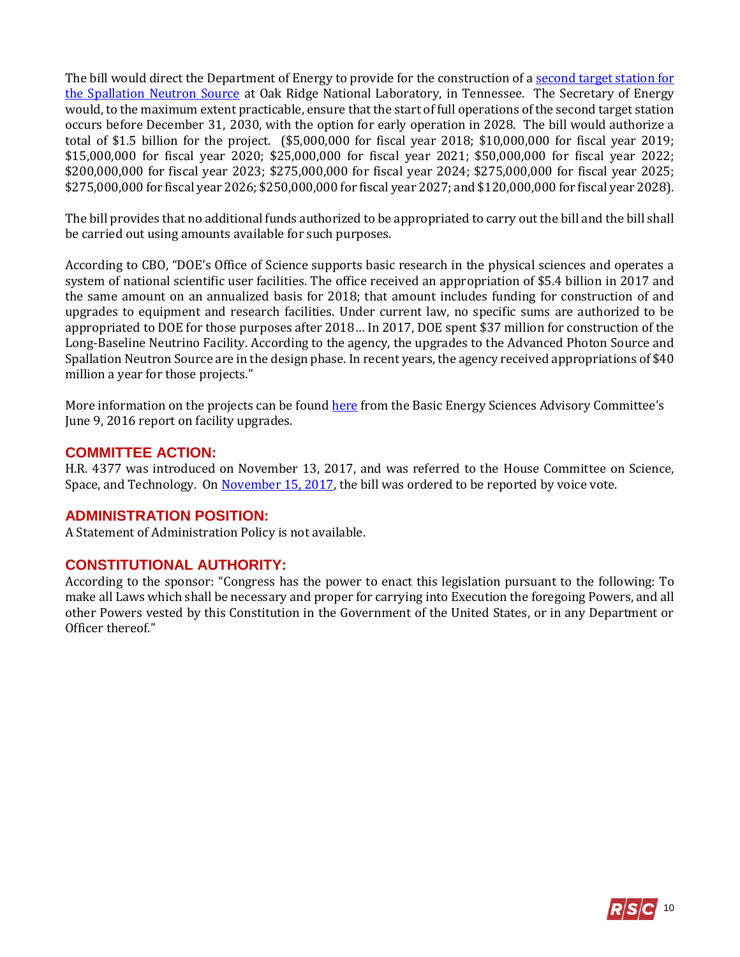The bill would direct the Department of Energy to provide for the construction of a second target station for [the Spallation Neutron Source](https://neutrons.ornl.gov/sts) at Oak Ridge National Laboratory, in Tennessee. The Secretary of Energy would, to the maximum extent practicable, ensure that the start of full operations of the second target station occurs before December 31, 2030, with the option for early operation in 2028. The bill would authorize a total of \$1.5 billion for the project. (\$5,000,000 for fiscal year 2018; \$10,000,000 for fiscal year 2019; \$15,000,000 for fiscal year 2020; \$25,000,000 for fiscal year 2021; \$50,000,000 for fiscal year 2022; \$200,000,000 for fiscal year 2023; \$275,000,000 for fiscal year 2024; \$275,000,000 for fiscal year 2025; \$275,000,000 for fiscal year 2026; \$250,000,000 for fiscal year 2027; and \$120,000,000 for fiscal year 2028).

The bill provides that no additional funds authorized to be appropriated to carry out the bill and the bill shall be carried out using amounts available for such purposes.

According to CBO, "DOE's Office of Science supports basic research in the physical sciences and operates a system of national scientific user facilities. The office received an appropriation of \$5.4 billion in 2017 and the same amount on an annualized basis for 2018; that amount includes funding for construction of and upgrades to equipment and research facilities. Under current law, no specific sums are authorized to be appropriated to DOE for those purposes after 2018… In 2017, DOE spent \$37 million for construction of the Long-Baseline Neutrino Facility. According to the agency, the upgrades to the Advanced Photon Source and Spallation Neutron Source are in the design phase. In recent years, the agency received appropriations of \$40 million a year for those projects."

More information on the projects can be found [here](https://science.energy.gov/~/media/bes/besac/pdf/Reports/BESAC_Facility_Upgrade_Assessment_Approved_June_9_2016.pdf) from the Basic Energy Sciences Advisory Committee's June 9, 2016 report on facility upgrades.

#### **COMMITTEE ACTION:**

H.R. 4377 was introduced on November 13, 2017, and was referred to the House Committee on Science, Space, and Technology. On [November 15, 2017,](https://science.house.gov/legislation/markups/full-committee-markup-0) the bill was ordered to be reported by voice vote.

#### **ADMINISTRATION POSITION:**

A Statement of Administration Policy is not available.

## **CONSTITUTIONAL AUTHORITY:**

According to the sponsor: "Congress has the power to enact this legislation pursuant to the following: To make all Laws which shall be necessary and proper for carrying into Execution the foregoing Powers, and all other Powers vested by this Constitution in the Government of the United States, or in any Department or Officer thereof."

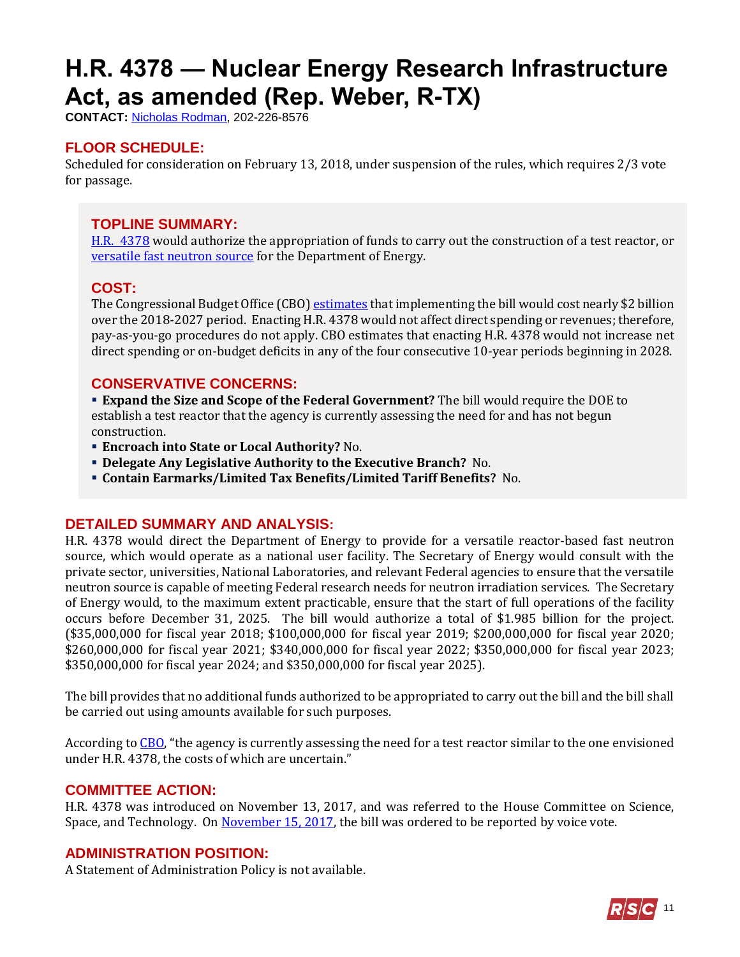# <span id="page-10-0"></span>**H.R. 4378 — Nuclear Energy Research Infrastructure Act, as amended (Rep. Weber, R-TX)**

**CONTACT:** [Nicholas Rodman,](mailto:nicholas.rodman@mail.house.gov) 202-226-8576

## **FLOOR SCHEDULE:**

Scheduled for consideration on February 13, 2018, under suspension of the rules, which requires 2/3 vote for passage.

#### **TOPLINE SUMMARY:**

[H.R. 4378](http://docs.house.gov/billsthisweek/20180212/HR4378-1.pdf) would authorize the appropriation of funds to carry out the construction of a test reactor, or [versatile fast neutron source](https://inlnuc.inl.gov/NUC%20Annual%20Review%20Meeting%20%20August%202017/Wednesday%20Presentations/2_Breakout-Session-VFNS.pdf) for the Department of Energy.

#### **COST:**

The Congressional Budget Office (CBO[\) estimates](https://www.cbo.gov/system/files/115th-congress-2017-2018/costestimate/hr4378.pdf) that implementing the bill would cost nearly \$2 billion over the 2018-2027 period. Enacting H.R. 4378 would not affect direct spending or revenues; therefore, pay-as-you-go procedures do not apply. CBO estimates that enacting H.R. 4378 would not increase net direct spending or on-budget deficits in any of the four consecutive 10-year periods beginning in 2028.

#### **CONSERVATIVE CONCERNS:**

 **Expand the Size and Scope of the Federal Government?** The bill would require the DOE to establish a test reactor that the agency is currently assessing the need for and has not begun construction.

- **Encroach into State or Local Authority?** No.
- **Delegate Any Legislative Authority to the Executive Branch?** No.
- **Contain Earmarks/Limited Tax Benefits/Limited Tariff Benefits?** No.

#### **DETAILED SUMMARY AND ANALYSIS:**

H.R. 4378 would direct the Department of Energy to provide for a versatile reactor-based fast neutron source, which would operate as a national user facility. The Secretary of Energy would consult with the private sector, universities, National Laboratories, and relevant Federal agencies to ensure that the versatile neutron source is capable of meeting Federal research needs for neutron irradiation services. The Secretary of Energy would, to the maximum extent practicable, ensure that the start of full operations of the facility occurs before December 31, 2025. The bill would authorize a total of \$1.985 billion for the project. (\$35,000,000 for fiscal year 2018; \$100,000,000 for fiscal year 2019; \$200,000,000 for fiscal year 2020; \$260,000,000 for fiscal year 2021; \$340,000,000 for fiscal year 2022; \$350,000,000 for fiscal year 2023; \$350,000,000 for fiscal year 2024; and \$350,000,000 for fiscal year 2025).

The bill provides that no additional funds authorized to be appropriated to carry out the bill and the bill shall be carried out using amounts available for such purposes.

According to [CBO](https://www.cbo.gov/system/files/115th-congress-2017-2018/costestimate/hr4378.pdf), "the agency is currently assessing the need for a test reactor similar to the one envisioned under H.R. 4378, the costs of which are uncertain."

#### **COMMITTEE ACTION:**

H.R. 4378 was introduced on November 13, 2017, and was referred to the House Committee on Science, Space, and Technology. On [November 15, 2017,](https://science.house.gov/legislation/markups/full-committee-markup-0) the bill was ordered to be reported by voice vote.

#### **ADMINISTRATION POSITION:**

A Statement of Administration Policy is not available.

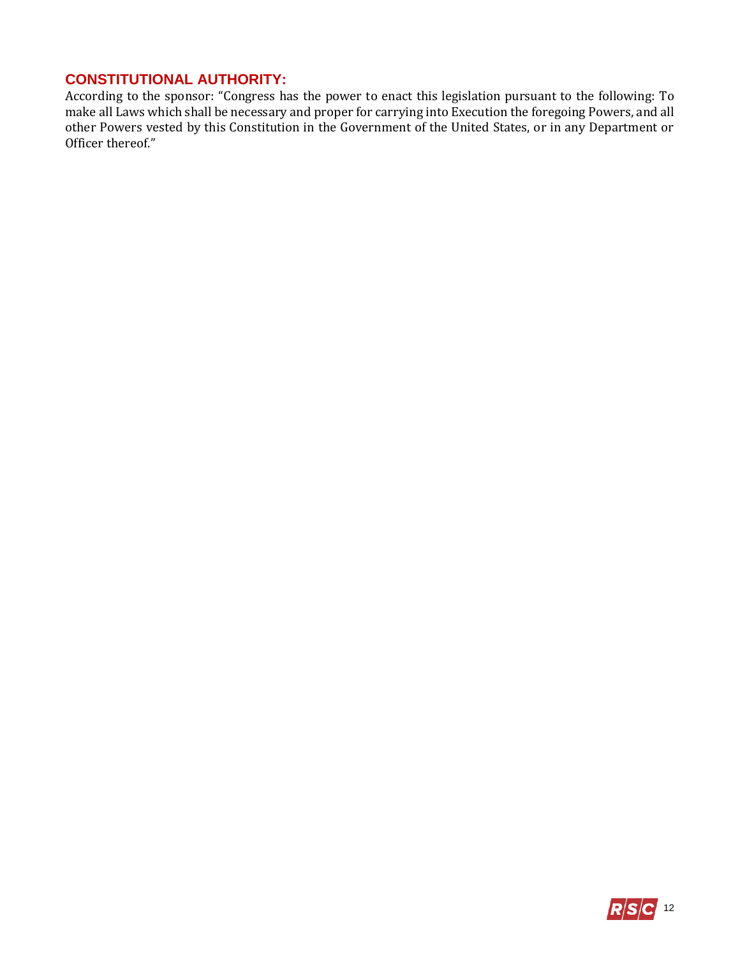## **CONSTITUTIONAL AUTHORITY:**

According to the sponsor: "Congress has the power to enact this legislation pursuant to the following: To make all Laws which shall be necessary and proper for carrying into Execution the foregoing Powers, and all other Powers vested by this Constitution in the Government of the United States, or in any Department or Officer thereof."

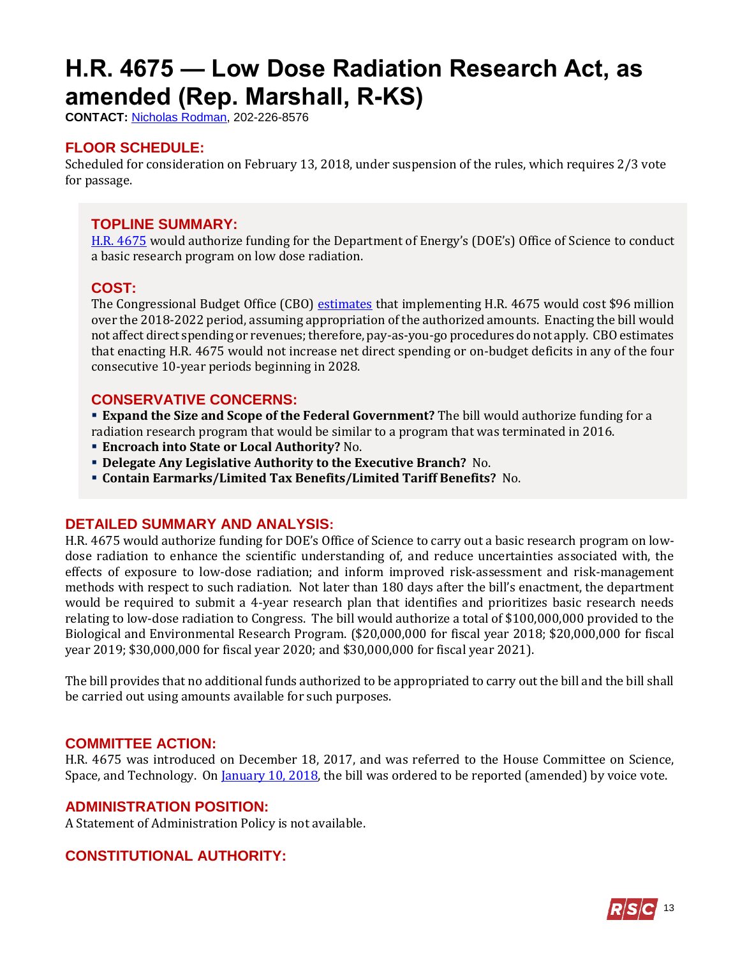# <span id="page-12-0"></span>**H.R. 4675 — Low Dose Radiation Research Act, as amended (Rep. Marshall, R-KS)**

**CONTACT:** [Nicholas Rodman,](mailto:nicholas.rodman@mail.house.gov) 202-226-8576

## **FLOOR SCHEDULE:**

Scheduled for consideration on February 13, 2018, under suspension of the rules, which requires 2/3 vote for passage.

#### **TOPLINE SUMMARY:**

[H.R. 4675](http://docs.house.gov/billsthisweek/20180212/HR4675-1.pdf) would authorize funding for the Department of Energy's (DOE's) Office of Science to conduct a basic research program on low dose radiation.

#### **COST:**

The Congressional Budget Office (CBO) [estimates](https://www.cbo.gov/system/files/115th-congress-2017-2018/costestimate/hr4675.pdf) that implementing H.R. 4675 would cost \$96 million over the 2018-2022 period, assuming appropriation of the authorized amounts. Enacting the bill would not affect direct spending or revenues; therefore, pay-as-you-go procedures do not apply. CBO estimates that enacting H.R. 4675 would not increase net direct spending or on-budget deficits in any of the four consecutive 10-year periods beginning in 2028.

## **CONSERVATIVE CONCERNS:**

 **Expand the Size and Scope of the Federal Government?** The bill would authorize funding for a radiation research program that would be similar to a program that was terminated in 2016.

- **Encroach into State or Local Authority?** No.
- **Delegate Any Legislative Authority to the Executive Branch?** No.
- **Contain Earmarks/Limited Tax Benefits/Limited Tariff Benefits?** No.

#### **DETAILED SUMMARY AND ANALYSIS:**

H.R. 4675 would authorize funding for DOE's Office of Science to carry out a basic research program on lowdose radiation to enhance the scientific understanding of, and reduce uncertainties associated with, the effects of exposure to low-dose radiation; and inform improved risk-assessment and risk-management methods with respect to such radiation. Not later than 180 days after the bill's enactment, the department would be required to submit a 4-year research plan that identifies and prioritizes basic research needs relating to low-dose radiation to Congress. The bill would authorize a total of \$100,000,000 provided to the Biological and Environmental Research Program. (\$20,000,000 for fiscal year 2018; \$20,000,000 for fiscal year 2019; \$30,000,000 for fiscal year 2020; and \$30,000,000 for fiscal year 2021).

The bill provides that no additional funds authorized to be appropriated to carry out the bill and the bill shall be carried out using amounts available for such purposes.

#### **COMMITTEE ACTION:**

H.R. 4675 was introduced on December 18, 2017, and was referred to the House Committee on Science, Space, and Technology. On <u>January 10, 2018</u>, the bill was ordered to be reported (amended) by voice vote.

#### **ADMINISTRATION POSITION:**

A Statement of Administration Policy is not available.

## **CONSTITUTIONAL AUTHORITY:**

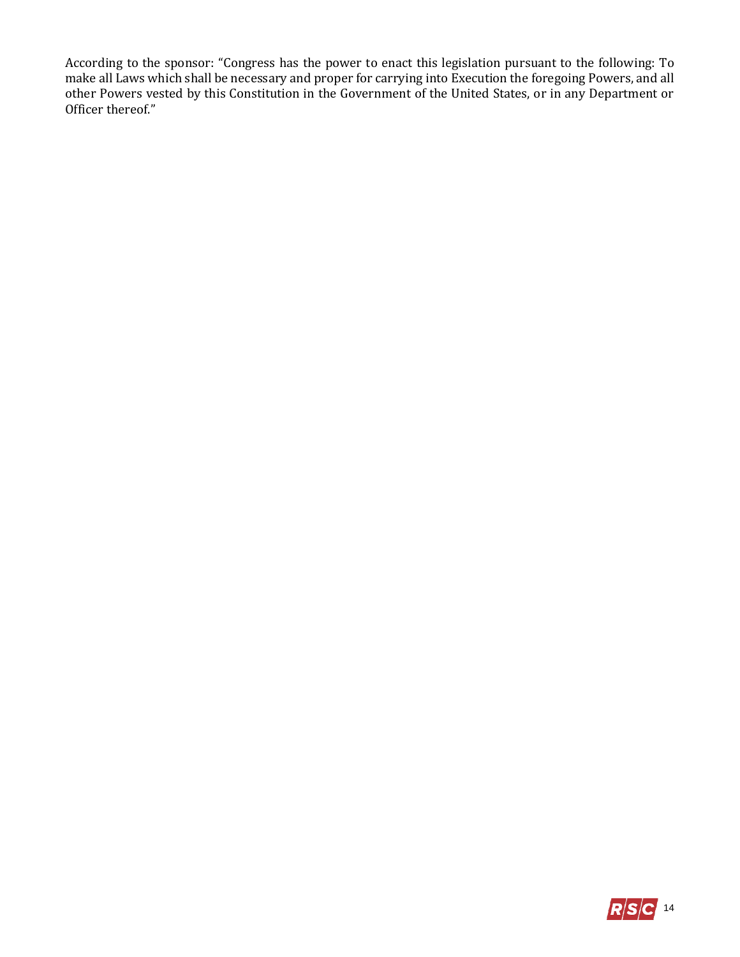According to the sponsor: "Congress has the power to enact this legislation pursuant to the following: To make all Laws which shall be necessary and proper for carrying into Execution the foregoing Powers, and all other Powers vested by this Constitution in the Government of the United States, or in any Department or Officer thereof."

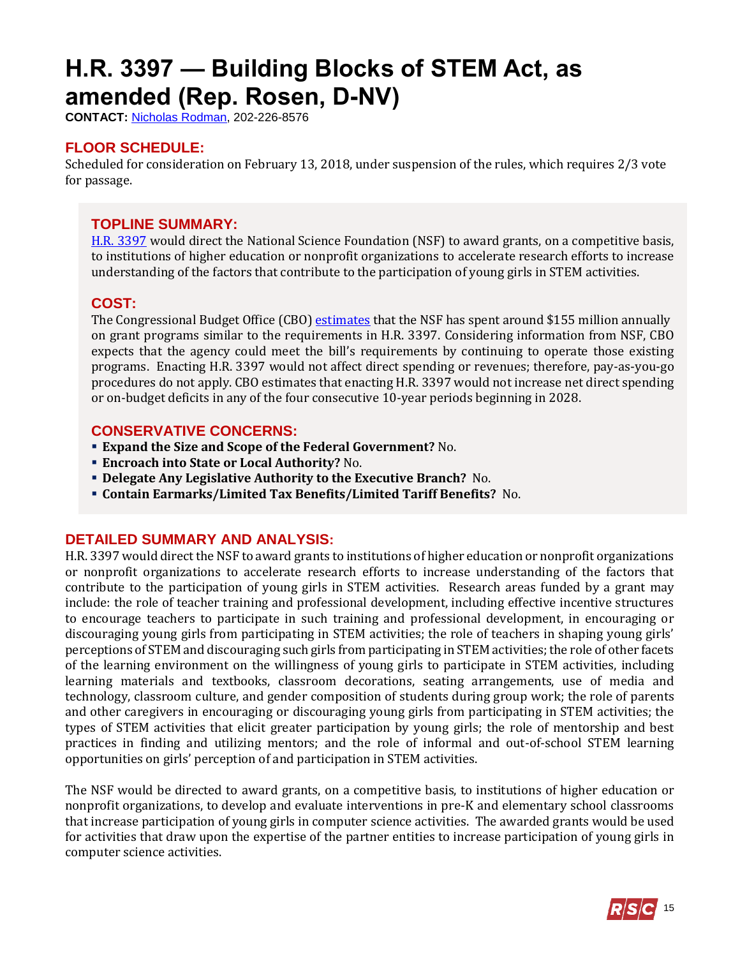# <span id="page-14-0"></span>**H.R. 3397 — Building Blocks of STEM Act, as amended (Rep. Rosen, D-NV)**

**CONTACT:** [Nicholas Rodman,](mailto:nicholas.rodman@mail.house.gov) 202-226-8576

## **FLOOR SCHEDULE:**

Scheduled for consideration on February 13, 2018, under suspension of the rules, which requires 2/3 vote for passage.

#### **TOPLINE SUMMARY:**

[H.R. 3397](http://docs.house.gov/billsthisweek/20180212/HR3397.pdf) would direct the National Science Foundation (NSF) to award grants, on a competitive basis, to institutions of higher education or nonprofit organizations to accelerate research efforts to increase understanding of the factors that contribute to the participation of young girls in STEM activities.

#### **COST:**

The Congressional Budget Office (CBO) [estimates](https://www.cbo.gov/system/files/115th-congress-2017-2018/costestimate/hr3397.pdf) that the NSF has spent around \$155 million annually on grant programs similar to the requirements in H.R. 3397. Considering information from NSF, CBO expects that the agency could meet the bill's requirements by continuing to operate those existing programs. Enacting H.R. 3397 would not affect direct spending or revenues; therefore, pay-as-you-go procedures do not apply. CBO estimates that enacting H.R. 3397 would not increase net direct spending or on-budget deficits in any of the four consecutive 10-year periods beginning in 2028.

#### **CONSERVATIVE CONCERNS:**

- **Expand the Size and Scope of the Federal Government?** No.
- **Encroach into State or Local Authority?** No.
- **Delegate Any Legislative Authority to the Executive Branch?** No.
- **Contain Earmarks/Limited Tax Benefits/Limited Tariff Benefits?** No.

#### **DETAILED SUMMARY AND ANALYSIS:**

H.R. 3397 would direct the NSF to award grants to institutions of higher education or nonprofit organizations or nonprofit organizations to accelerate research efforts to increase understanding of the factors that contribute to the participation of young girls in STEM activities. Research areas funded by a grant may include: the role of teacher training and professional development, including effective incentive structures to encourage teachers to participate in such training and professional development, in encouraging or discouraging young girls from participating in STEM activities; the role of teachers in shaping young girls' perceptions of STEM and discouraging such girls from participating in STEM activities; the role of other facets of the learning environment on the willingness of young girls to participate in STEM activities, including learning materials and textbooks, classroom decorations, seating arrangements, use of media and technology, classroom culture, and gender composition of students during group work; the role of parents and other caregivers in encouraging or discouraging young girls from participating in STEM activities; the types of STEM activities that elicit greater participation by young girls; the role of mentorship and best practices in finding and utilizing mentors; and the role of informal and out-of-school STEM learning opportunities on girls' perception of and participation in STEM activities.

The NSF would be directed to award grants, on a competitive basis, to institutions of higher education or nonprofit organizations, to develop and evaluate interventions in pre-K and elementary school classrooms that increase participation of young girls in computer science activities. The awarded grants would be used for activities that draw upon the expertise of the partner entities to increase participation of young girls in computer science activities.

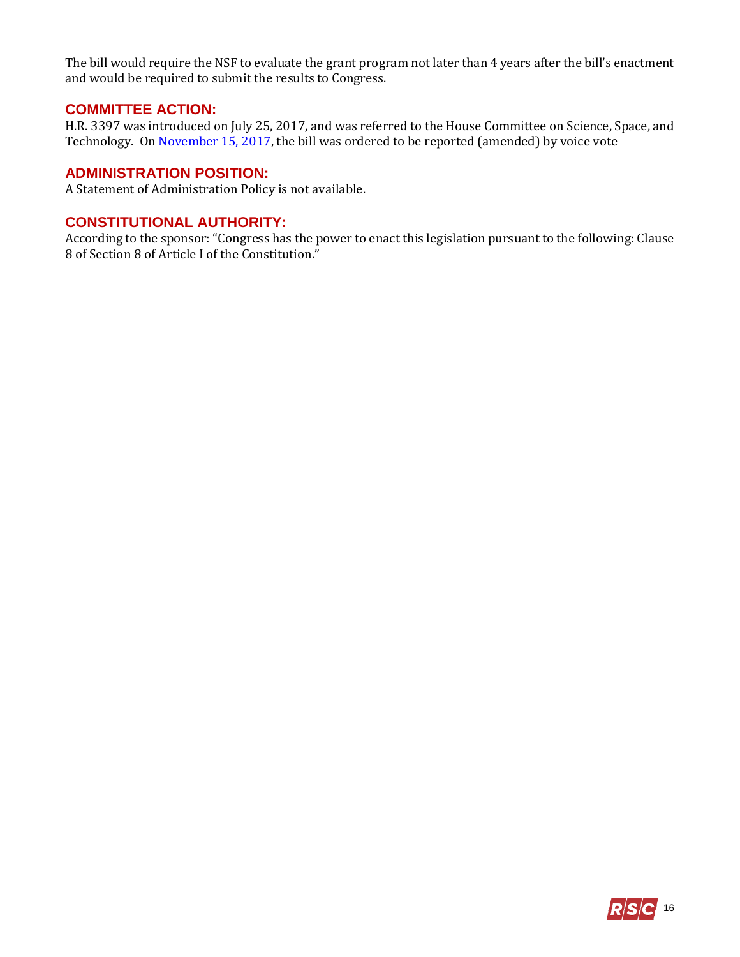The bill would require the NSF to evaluate the grant program not later than 4 years after the bill's enactment and would be required to submit the results to Congress.

#### **COMMITTEE ACTION:**

H.R. 3397 was introduced on July 25, 2017, and was referred to the House Committee on Science, Space, and Technology. O[n November 15, 2017,](https://science.house.gov/legislation/markups/full-committee-markup-0) the bill was ordered to be reported (amended) by voice vote

#### **ADMINISTRATION POSITION:**

A Statement of Administration Policy is not available.

#### **CONSTITUTIONAL AUTHORITY:**

According to the sponsor: "Congress has the power to enact this legislation pursuant to the following: Clause 8 of Section 8 of Article I of the Constitution."

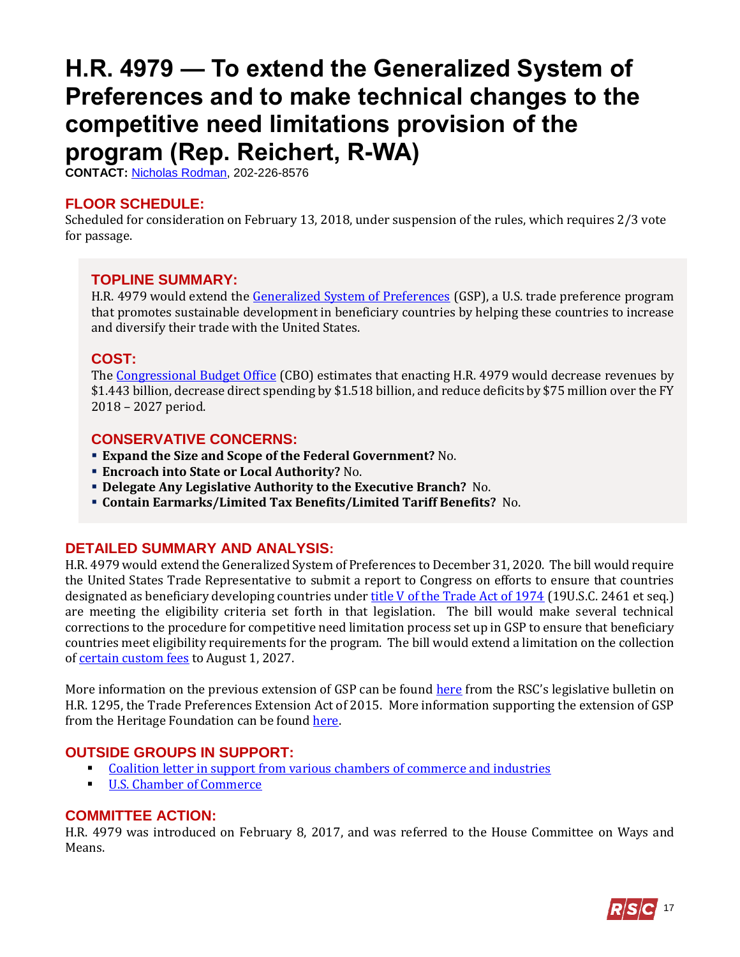## <span id="page-16-0"></span>**H.R. 4979 — To extend the Generalized System of Preferences and to make technical changes to the competitive need limitations provision of the program (Rep. Reichert, R-WA)**

**CONTACT:** [Nicholas Rodman,](mailto:nicholas.rodman@mail.house.gov) 202-226-8576

#### **FLOOR SCHEDULE:**

Scheduled for consideration on February 13, 2018, under suspension of the rules, which requires 2/3 vote for passage.

#### **TOPLINE SUMMARY:**

H.R. 4979 would extend the [Generalized System of Preferences](https://ustr.gov/issue-areas/trade-development/preference-programs/generalized-system-preference-gsp) (GSP), a U.S. trade preference program that promotes sustainable development in beneficiary countries by helping these countries to increase and diversify their trade with the United States.

#### **COST:**

The [Congressional Budget Office](https://www.cbo.gov/system/files/115th-congress-2017-2018/costestimate/hr4979.pdf) (CBO) estimates that enacting H.R. 4979 would decrease revenues by \$1.443 billion, decrease direct spending by \$1.518 billion, and reduce deficits by \$75 million over the FY 2018 – 2027 period.

#### **CONSERVATIVE CONCERNS:**

- **Expand the Size and Scope of the Federal Government?** No.
- **Encroach into State or Local Authority?** No.
- **Delegate Any Legislative Authority to the Executive Branch?** No.
- **Contain Earmarks/Limited Tax Benefits/Limited Tariff Benefits?** No.

## **DETAILED SUMMARY AND ANALYSIS:**

H.R. 4979 would extend the Generalized System of Preferences to December 31, 2020. The bill would require the United States Trade Representative to submit a report to Congress on efforts to ensure that countries designated as beneficiary developing countries under [title V of the Trade Act of 1974](https://legcounsel.house.gov/Comps/93-618.pdf) (19U.S.C. 2461 et seq.) are meeting the eligibility criteria set forth in that legislation. The bill would make several technical corrections to the procedure for competitive need limitation process set up in GSP to ensure that beneficiary countries meet eligibility requirements for the program. The bill would extend a limitation on the collection of certain [custom fees](https://www.law.cornell.edu/uscode/text/19/58c) to August 1, 2027.

More information on the previous extension of GSP can be found [here](https://rsc-walker.house.gov/sites/republicanstudycommittee.house.gov/files/2015LB/RSC_Legislative_Bulletin_Concur_in_the_Senate_Amendment_to_H_R_1295_June_25_2015_01.pdf) from the RSC's legislative bulletin on H.R. 1295, the Trade Preferences Extension Act of 2015. More information supporting the extension of GSP from the Heritage Foundation can be found [here.](https://www.heritage.org/trade/report/congress-should-renew-the-generalized-system-preferences)

## **OUTSIDE GROUPS IN SUPPORT:**

- [Coalition letter in support from various chambers of commerce and industries](http://renewgsptoday.com/gsp-supporter-list/)
- [U.S. Chamber of Commerce](https://www.uschamber.com/series/above-the-fold/time-renew-the-generalized-system-preferences)

#### **COMMITTEE ACTION:**

H.R. 4979 was introduced on February 8, 2017, and was referred to the House Committee on Ways and Means.